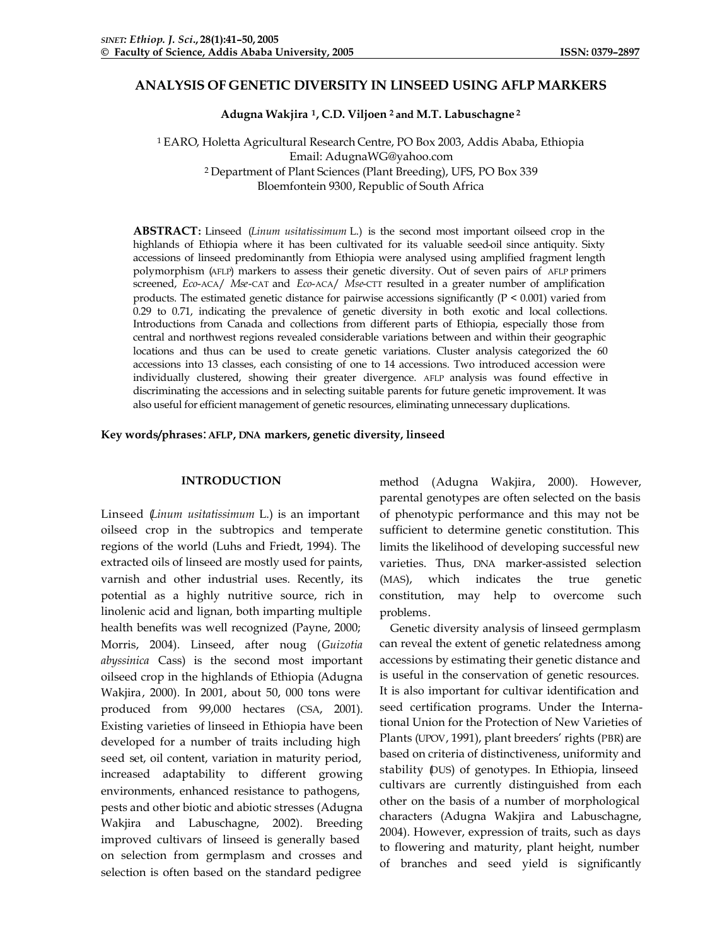# **ANALYSIS OF GENETIC DIVERSITY IN LINSEED USING AFLP MARKERS**

**Adugna Wakjira <sup>1</sup>, C.D. Viljoen <sup>2</sup>and M.T. Labuschagne <sup>2</sup>**

<sup>1</sup> EARO, Holetta Agricultural Research Centre, PO Box 2003, Addis Ababa, Ethiopia Email: AdugnaWG@yahoo.com <sup>2</sup> Department of Plant Sciences (Plant Breeding), UFS, PO Box 339 Bloemfontein 9300, Republic of South Africa

**ABSTRACT:** Linseed (*Linum usitatissimum* L.) is the second most important oilseed crop in the highlands of Ethiopia where it has been cultivated for its valuable seed-oil since antiquity. Sixty accessions of linseed predominantly from Ethiopia were analysed using amplified fragment length polymorphism (AFLP) markers to assess their genetic diversity. Out of seven pairs of AFLP primers screened, *Eco*-ACA/ *Mse*-CAT and *Eco*-ACA/ *Mse*-CTT resulted in a greater number of amplification products. The estimated genetic distance for pairwise accessions significantly (P < 0.001) varied from 0.29 to 0.71, indicating the prevalence of genetic diversity in both exotic and local collections. Introductions from Canada and collections from different parts of Ethiopia, especially those from central and northwest regions revealed considerable variations between and within their geographic locations and thus can be used to create genetic variations. Cluster analysis categorized the 60 accessions into 13 classes, each consisting of one to 14 accessions. Two introduced accession were individually clustered, showing their greater divergence. AFLP analysis was found effective in discriminating the accessions and in selecting suitable parents for future genetic improvement. It was also useful for efficient management of genetic resources, eliminating unnecessary duplications.

#### **Key words/phrases**:**AFLP, DNA markers, genetic diversity, linseed**

## **INTRODUCTION**

Linseed (*Linum usitatissimum* L.) is an important oilseed crop in the subtropics and temperate regions of the world (Luhs and Friedt, 1994). The extracted oils of linseed are mostly used for paints, varnish and other industrial uses. Recently, its potential as a highly nutritive source, rich in linolenic acid and lignan, both imparting multiple health benefits was well recognized (Payne, 2000; Morris, 2004). Linseed, after noug (*Guizotia abyssinica* Cass) is the second most important oilseed crop in the highlands of Ethiopia (Adugna Wakjira, 2000). In 2001, about 50, 000 tons were produced from 99,000 hectares (CSA, 2001). Existing varieties of linseed in Ethiopia have been developed for a number of traits including high seed set, oil content, variation in maturity period, increased adaptability to different growing environments, enhanced resistance to pathogens, pests and other biotic and abiotic stresses (Adugna Wakjira and Labuschagne, 2002). Breeding improved cultivars of linseed is generally based on selection from germplasm and crosses and selection is often based on the standard pedigree

method (Adugna Wakjira, 2000). However, parental genotypes are often selected on the basis of phenotypic performance and this may not be sufficient to determine genetic constitution. This limits the likelihood of developing successful new varieties. Thus, DNA marker-assisted selection (MAS), which indicates the true genetic constitution, may help to overcome such problems.

Genetic diversity analysis of linseed germplasm can reveal the extent of genetic relatedness among accessions by estimating their genetic distance and is useful in the conservation of genetic resources. It is also important for cultivar identification and seed certification programs. Under the International Union for the Protection of New Varieties of Plants (UPOV, 1991), plant breeders' rights (PBR) are based on criteria of distinctiveness, uniformity and stability (DUS) of genotypes. In Ethiopia, linseed cultivars are currently distinguished from each other on the basis of a number of morphological characters (Adugna Wakjira and Labuschagne, 2004). However, expression of traits, such as days to flowering and maturity, plant height, number of branches and seed yield is significantly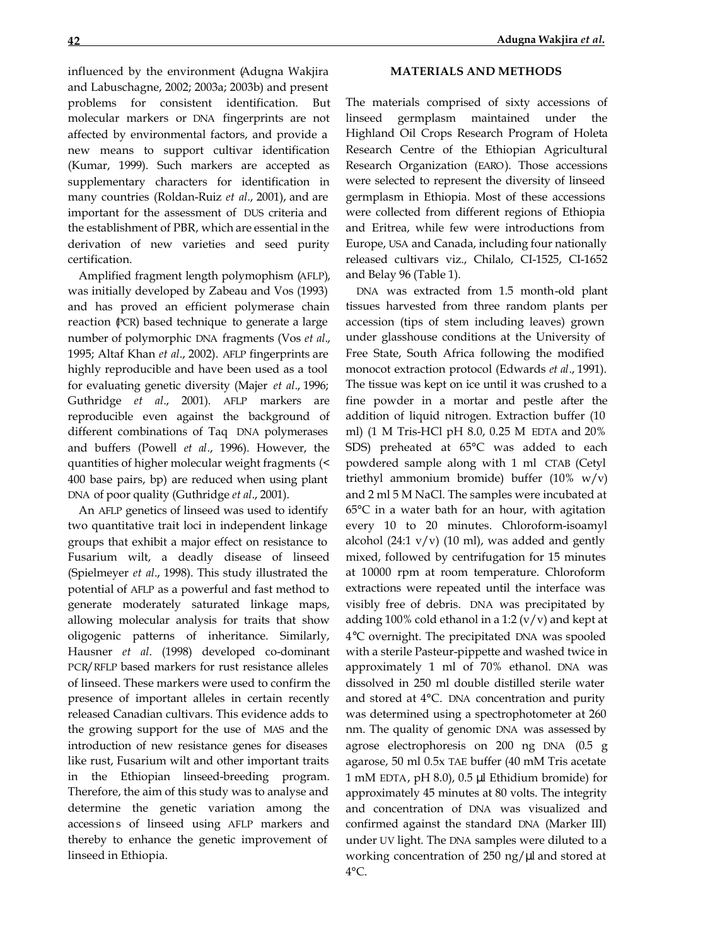influenced by the environment (Adugna Wakjira and Labuschagne, 2002; 2003a; 2003b) and present problems for consistent identification. But molecular markers or DNA fingerprints are not affected by environmental factors, and provide a new means to support cultivar identification (Kumar, 1999). Such markers are accepted as supplementary characters for identification in many countries (Roldan-Ruiz *et al*., 2001), and are important for the assessment of DUS criteria and the establishment of PBR, which are essential in the derivation of new varieties and seed purity certification.

Amplified fragment length polymophism (AFLP), was initially developed by Zabeau and Vos (1993) and has proved an efficient polymerase chain reaction (PCR) based technique to generate a large number of polymorphic DNA fragments (Vos *et al*., 1995; Altaf Khan *et al*., 2002). AFLP fingerprints are highly reproducible and have been used as a tool for evaluating genetic diversity (Majer *et al*., 1996; Guthridge *et al*., 2001). AFLP markers are reproducible even against the background of different combinations of Taq DNA polymerases and buffers (Powell *et al*., 1996). However, the quantities of higher molecular weight fragments (< 400 base pairs, bp) are reduced when using plant DNA of poor quality (Guthridge *et al*., 2001).

An AFLP genetics of linseed was used to identify two quantitative trait loci in independent linkage groups that exhibit a major effect on resistance to Fusarium wilt, a deadly disease of linseed (Spielmeyer *et al*., 1998). This study illustrated the potential of AFLP as a powerful and fast method to generate moderately saturated linkage maps, allowing molecular analysis for traits that show oligogenic patterns of inheritance. Similarly, Hausner *et al*. (1998) developed co-dominant PCR/RFLP based markers for rust resistance alleles of linseed. These markers were used to confirm the presence of important alleles in certain recently released Canadian cultivars. This evidence adds to the growing support for the use of MAS and the introduction of new resistance genes for diseases like rust, Fusarium wilt and other important traits in the Ethiopian linseed-breeding program. Therefore, the aim of this study was to analyse and determine the genetic variation among the accessions of linseed using AFLP markers and thereby to enhance the genetic improvement of linseed in Ethiopia.

The materials comprised of sixty accessions of linseed germplasm maintained under the Highland Oil Crops Research Program of Holeta Research Centre of the Ethiopian Agricultural Research Organization (EARO). Those accessions were selected to represent the diversity of linseed germplasm in Ethiopia. Most of these accessions were collected from different regions of Ethiopia and Eritrea, while few were introductions from Europe, USA and Canada, including four nationally released cultivars viz., Chilalo, CI-1525, CI-1652 and Belay 96 (Table 1).

DNA was extracted from 1.5 month-old plant tissues harvested from three random plants per accession (tips of stem including leaves) grown under glasshouse conditions at the University of Free State, South Africa following the modified monocot extraction protocol (Edwards *et al*., 1991). The tissue was kept on ice until it was crushed to a fine powder in a mortar and pestle after the addition of liquid nitrogen. Extraction buffer (10 ml) (1 M Tris-HCl pH 8.0, 0.25 M EDTA and 20% SDS) preheated at 65°C was added to each powdered sample along with 1 ml CTAB (Cetyl triethyl ammonium bromide) buffer (10% w/v) and 2 ml 5 M NaCl. The samples were incubated at 65°C in a water bath for an hour, with agitation every 10 to 20 minutes. Chloroform-isoamyl alcohol (24:1  $v/v$ ) (10 ml), was added and gently mixed, followed by centrifugation for 15 minutes at 10000 rpm at room temperature. Chloroform extractions were repeated until the interface was visibly free of debris. DNA was precipitated by adding 100% cold ethanol in a 1:2  $(v/v)$  and kept at 4°C overnight. The precipitated DNA was spooled with a sterile Pasteur-pippette and washed twice in approximately 1 ml of 70% ethanol. DNA was dissolved in 250 ml double distilled sterile water and stored at 4°C. DNA concentration and purity was determined using a spectrophotometer at 260 nm. The quality of genomic DNA was assessed by agrose electrophoresis on 200 ng DNA (0.5 g agarose, 50 ml 0.5x TAE buffer (40 mM Tris acetate 1 mM EDTA, pH 8.0), 0.5 μl Ethidium bromide) for approximately 45 minutes at 80 volts. The integrity and concentration of DNA was visualized and confirmed against the standard DNA (Marker III) under UV light. The DNA samples were diluted to a working concentration of 250 ng/μl and stored at  $4^{\circ}$ C.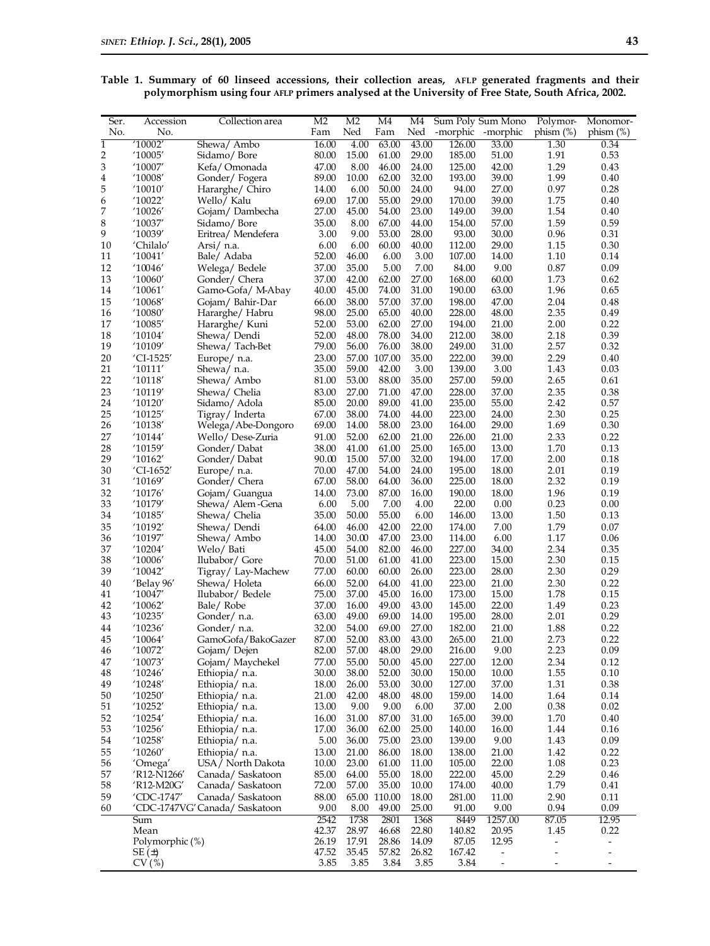| Table 1. Summary of 60 linseed accessions, their collection areas, AFLP generated fragments and their |  |  |  |  |  |  |
|-------------------------------------------------------------------------------------------------------|--|--|--|--|--|--|
| polymorphism using four AFLP primers analysed at the University of Free State, South Africa, 2002.    |  |  |  |  |  |  |

| Ser.                    | Accession          | Collection area                  | M <sub>2</sub> | M <sub>2</sub> | M4             | M4             |                  | Sum Poly Sum Mono            | Polymor-     | Monomor-                 |
|-------------------------|--------------------|----------------------------------|----------------|----------------|----------------|----------------|------------------|------------------------------|--------------|--------------------------|
| No.                     | No.                |                                  | Fam            | Ned            | Fam            | Ned            | -morphic         | -morphic                     | phism $(\%)$ | phism $(\%)$             |
| $\overline{1}$          | '10002'            | Shewa/ Ambo                      | 16.00          | 4.00           | 63.00          | 43.00          | 126.00           | 33.00                        | 1.30         | 0.34                     |
| $\overline{\mathbf{c}}$ | '10005'            | Sidamo/Bore                      | 80.00          | 15.00          | 61.00          | 29.00          | 185.00           | 51.00                        | 1.91         | 0.53                     |
| 3                       | '10007'            | Kefa/Omonada                     | 47.00          | 8.00           | 46.00          | 24.00          | 125.00           | 42.00                        | 1.29         | 0.43                     |
| 4                       | '10008'            | Gonder/Fogera                    | 89.00          | 10.00          | 62.00          | 32.00          | 193.00           | 39.00                        | 1.99         | 0.40                     |
| 5                       | '10010'            | Hararghe/ Chiro                  | 14.00          | 6.00           | 50.00          | 24.00          | 94.00            | 27.00                        | 0.97         | 0.28                     |
| 6<br>7                  | '10022'            | Wello/ Kalu                      | 69.00          | 17.00<br>45.00 | 55.00          | 29.00<br>23.00 | 170.00           | 39.00                        | 1.75<br>1.54 | 0.40<br>0.40             |
| 8                       | 10026′<br>'10037'  | Gojam/Dambecha                   | 27.00<br>35.00 | 8.00           | 54.00<br>67.00 |                | 149.00<br>154.00 | 39.00<br>57.00               | 1.59         | 0.59                     |
| 9                       | '10039'            | Sidamo/Bore<br>Eritrea/Mendefera | 3.00           | 9.00           | 53.00          | 44.00<br>28.00 | 93.00            | 30.00                        | 0.96         | 0.31                     |
| 10                      | 'Chilalo'          | Arsi/ n.a.                       | 6.00           | 6.00           | 60.00          | 40.00          | 112.00           | 29.00                        | 1.15         | 0.30                     |
| 11                      | '10041'            | Bale/ Adaba                      | 52.00          | 46.00          | 6.00           | 3.00           | 107.00           | 14.00                        | 1.10         | 0.14                     |
| 12                      | '10046'            | Welega/Bedele                    | 37.00          | 35.00          | 5.00           | 7.00           | 84.00            | 9.00                         | 0.87         | 0.09                     |
| 13                      | '10060'            | Gonder/ Chera                    | 37.00          | 42.00          | 62.00          | 27.00          | 168.00           | 60.00                        | 1.73         | 0.62                     |
| 14                      | '10061'            | Gamo-Gofa/ M-Abay                | 40.00          | 45.00          | 74.00          | 31.00          | 190.00           | 63.00                        | 1.96         | 0.65                     |
| 15                      | '10068'            | Gojam/ Bahir-Dar                 | 66.00          | 38.00          | 57.00          | 37.00          | 198.00           | 47.00                        | 2.04         | 0.48                     |
| 16                      | '10080'            | Hararghe/Habru                   | 98.00          | 25.00          | 65.00          | 40.00          | 228.00           | 48.00                        | 2.35         | 0.49                     |
| 17                      | '10085'            | Hararghe/ Kuni                   | 52.00          | 53.00          | 62.00          | 27.00          | 194.00           | 21.00                        | 2.00         | 0.22                     |
| 18                      | '10104'            | Shewa/Dendi                      | 52.00          | 48.00          | 78.00          | 34.00          | 212.00           | 38.00                        | 2.18         | 0.39                     |
| 19                      | '10109'            | Shewa/Tach-Bet                   | 79.00          | 56.00          | 76.00          | 38.00          | 249.00           | 31.00                        | 2.57         | 0.32                     |
| 20                      | 'CI-1525'          | Europe/ n.a.                     | 23.00          | 57.00          | 107.00         | 35.00          | 222.00           | 39.00                        | 2.29         | 0.40                     |
| 21                      | '10111'            | Shewa/ n.a.                      | 35.00          | 59.00          | 42.00          | 3.00           | 139.00           | 3.00                         | 1.43         | 0.03                     |
| 22                      | '10118'            | Shewa/ Ambo                      | 81.00          | 53.00          | 88.00          | 35.00          | 257.00           | 59.00                        | 2.65         | 0.61                     |
| 23                      | '10119'            | Shewa/ Chelia                    | 83.00          | 27.00          | 71.00          | 47.00          | 228.00           | 37.00                        | 2.35         | 0.38                     |
| 24                      | '10120'            | Sidamo/ Adola                    | 85.00          | 20.00          | 89.00          | 41.00          | 235.00           | 55.00                        | 2.42         | 0.57                     |
| 25                      | '10125'            | Tigray/Inderta                   | 67.00          | 38.00          | 74.00          | 44.00          | 223.00           | 24.00                        | 2.30         | 0.25                     |
| 26                      | '10138'            | Welega/Abe-Dongoro               | 69.00          | 14.00          | 58.00          | 23.00          | 164.00           | 29.00                        | 1.69         | 0.30                     |
| 27                      | '10144'            | Wello/Dese-Zuria                 | 91.00          | 52.00          | 62.00          | 21.00          | 226.00           | 21.00                        | 2.33         | 0.22                     |
| 28                      | '10159'            | Gonder/Dabat                     | 38.00          | 41.00          | 61.00          | 25.00          | 165.00           | 13.00                        | 1.70         | 0.13                     |
| 29                      | '10162'            | Gonder/Dabat                     | 90.00          | 15.00          | 57.00          | 32.00          | 194.00           | 17.00                        | 2.00         | 0.18                     |
| 30                      | 'CI-1652'          | Europe/ n.a.                     | 70.00          | 47.00          | 54.00          | 24.00          | 195.00           | 18.00                        | 2.01         | 0.19                     |
| 31                      | '10169'            | Gonder/ Chera                    | 67.00          | 58.00          | 64.00          | 36.00          | 225.00           | 18.00                        | 2.32         | 0.19                     |
| 32                      | '10176'            | Gojam/ Guangua                   | 14.00          | 73.00          | 87.00          | 16.00          | 190.00           | 18.00                        | 1.96         | 0.19                     |
| 33                      | '10179'            | Shewa/ Alem-Gena                 | 6.00           | 5.00           | 7.00           | 4.00           | 22.00            | 0.00                         | 0.23         | 0.00                     |
| 34                      | '10185'            | Shewa/ Chelia                    | 35.00          | 50.00          | 55.00          | 6.00           | 146.00           | 13.00                        | 1.50         | 0.13                     |
| 35                      | '10192'            | Shewa/Dendi                      | 64.00          | 46.00          | 42.00          | 22.00          | 174.00           | 7.00                         | 1.79         | 0.07                     |
| 36                      | $^{\prime}10197'$  | Shewa/ Ambo                      | 14.00          | 30.00          | 47.00          | 23.00          | 114.00           | 6.00                         | 1.17         | 0.06                     |
| 37                      | '10204'            | Welo/Bati                        | 45.00          | 54.00          | 82.00          | 46.00          | 227.00           | 34.00                        | 2.34         | 0.35                     |
| 38                      | '10006'            | Ilubabor/ Gore                   | 70.00          | 51.00          | 61.00          | 41.00          | 223.00           | 15.00                        | 2.30         | 0.15                     |
| 39                      | '10042'            | Tigray/Lay-Machew                | 77.00          | 60.00          | 60.00          | 26.00          | 223.00           | 28.00                        | 2.30         | 0.29                     |
| 40<br>41                | 'Belay 96'         | Shewa/Holeta                     | 66.00<br>75.00 | 52.00<br>37.00 | 64.00<br>45.00 | 41.00          | 223.00<br>173.00 | 21.00<br>15.00               | 2.30<br>1.78 | 0.22<br>0.15             |
| 42                      | '10047'<br>'10062' | Ilubabor/ Bedele<br>Bale/Robe    | 37.00          | 16.00          | 49.00          | 16.00<br>43.00 | 145.00           | 22.00                        | 1.49         | 0.23                     |
| 43                      | '10235'            | Gonder/n.a.                      | 63.00          | 49.00          | 69.00          | 14.00          | 195.00           | 28.00                        | 2.01         | 0.29                     |
| 44                      | '10236'            | Gonder/n.a.                      | 32.00          | 54.00          | 69.00          | 27.00          | 182.00           | 21.00                        | 1.88         | 0.22                     |
| 45                      | '10064'            | GamoGofa/BakoGazer               | 87.00          | 52.00          | 83.00          | 43.00          | 265.00           | 21.00                        | 2.73         | 0.22                     |
| 46                      | '10072'            | Gojam/Dejen                      | 82.00          | 57.00          | 48.00          | 29.00          | 216.00           | 9.00                         | 2.23         | 0.09                     |
| 47                      | '10073'            | Gojam/ Maychekel                 | 77.00          | 55.00          | 50.00          | 45.00          | 227.00           | 12.00                        | 2.34         | 0.12                     |
| 48                      | '10246'            | Ethiopia/ n.a.                   | 30.00          | 38.00          | 52.00          | 30.00          | 150.00           | 10.00                        | 1.55         | 0.10                     |
| 49                      | '10248'            | Ethiopia/ n.a.                   | 18.00          | 26.00          | 53.00          | 30.00          | 127.00           | 37.00                        | 1.31         | 0.38                     |
| 50                      | '10250'            | Ethiopia/ n.a.                   | 21.00          | 42.00          | 48.00          | 48.00          | 159.00           | 14.00                        | 1.64         | 0.14                     |
| 51                      | '10252'            | Ethiopia/ n.a.                   | 13.00          | 9.00           | 9.00           | 6.00           | 37.00            | 2.00                         | 0.38         | 0.02                     |
| 52                      | '10254'            | Ethiopia/ n.a.                   | 16.00          | 31.00          | 87.00          | 31.00          | 165.00           | 39.00                        | 1.70         | 0.40                     |
| 53                      | '10256'            | Ethiopia/ n.a.                   | 17.00          | 36.00          | 62.00          | 25.00          | 140.00           | 16.00                        | 1.44         | 0.16                     |
| 54                      | '10258'            | Ethiopia/ n.a.                   | 5.00           | 36.00          | 75.00          | 23.00          | 139.00           | 9.00                         | 1.43         | 0.09                     |
| 55                      | '10260'            | Ethiopia/ n.a.                   | 13.00          | 21.00          | 86.00          | 18.00          | 138.00           | 21.00                        | 1.42         | 0.22                     |
| 56                      | 'Omega'            | USA / North Dakota               | 10.00          | 23.00          | 61.00          | 11.00          | 105.00           | 22.00                        | 1.08         | 0.23                     |
| 57                      | 'R12-N1266'        | Canada/Saskatoon                 | 85.00          | 64.00          | 55.00          | 18.00          | 222.00           | 45.00                        | 2.29         | 0.46                     |
| 58                      | 'R12-M20G'         | Canada/ Saskatoon                | 72.00          | 57.00          | 35.00          | 10.00          | 174.00           | 40.00                        | 1.79         | 0.41                     |
| 59                      | 'CDC-1747'         | Canada/ Saskatoon                | 88.00          | 65.00          | 110.00         | 18.00          | 281.00           | 11.00                        | 2.90         | 0.11                     |
| 60                      |                    | 'CDC-1747VG' Canada/ Saskatoon   | 9.00           | 8.00           | 49.00          | 25.00          | 91.00            | 9.00                         | 0.94         | 0.09                     |
|                         | Sum                |                                  | 2542           | 1738           | 2801           | 1368           | 8449             | 1257.00                      | 87.05        | 12.95                    |
|                         | Mean               |                                  | 42.37          | 28.97          | 46.68          | 22.80          | 140.82           | 20.95                        | 1.45         | 0.22                     |
|                         | Polymorphic (%)    |                                  | 26.19          | 17.91          | 28.86          | 14.09          | 87.05            | 12.95                        | -            |                          |
|                         | SE(±)              |                                  | 47.52          | 35.45          | 57.82          | 26.82          | 167.42           | $\qquad \qquad \blacksquare$ | -            | $\overline{\phantom{m}}$ |
|                         | CV(%)              |                                  | 3.85           | 3.85           | 3.84           | 3.85           | 3.84             | $\overline{\phantom{m}}$     | -            | $\overline{\phantom{a}}$ |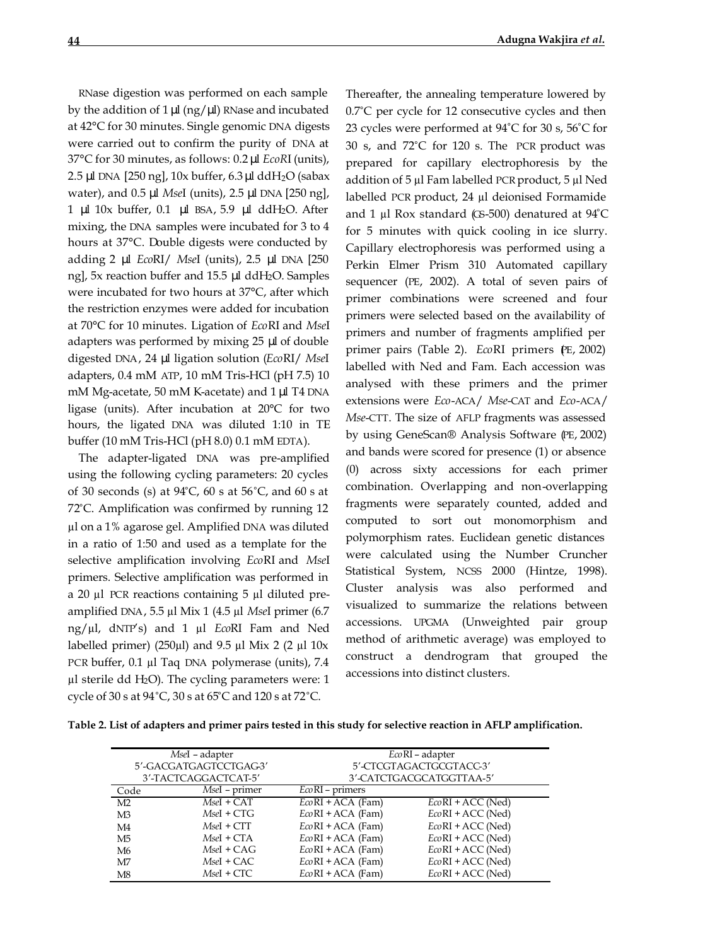RNase digestion was performed on each sample by the addition of  $1 \mu$  (ng/ $\mu$ ) RNase and incubated at 42°C for 30 minutes. Single genomic DNA digests were carried out to confirm the purity of DNA at 37°C for 30 minutes, as follows: 0.2 μl *EcoR*I (units), 2.5 μl DNA [250 ng], 10x buffer, 6.3 μl ddH2O (sabax water), and 0.5 μl *Mse*I (units), 2.5 μl DNA [250 ng], 1 μl 10x buffer, 0.1 μl BSA, 5.9 μl ddH2O. After mixing, the DNA samples were incubated for 3 to 4 hours at 37°C. Double digests were conducted by adding 2 μl *Eco*RI/ *Mse*I (units), 2.5 μl DNA [250 ng], 5x reaction buffer and 15.5 μl ddH2O. Samples were incubated for two hours at 37°C, after which the restriction enzymes were added for incubation at 70°C for 10 minutes. Ligation of *Eco*RI and *Mse*I adapters was performed by mixing 25 μl of double digested DNA, 24 μl ligation solution (*Eco*RI/ *Mse*I adapters, 0.4 mM ATP, 10 mM Tris-HCl (pH 7.5) 10 mM Mg-acetate, 50 mM K-acetate) and 1 μl T4 DNA ligase (units). After incubation at 20°C for two hours, the ligated DNA was diluted 1:10 in TE buffer (10 mM Tris-HCl (pH 8.0) 0.1 mM EDTA).

The adapter-ligated DNA was pre-amplified using the following cycling parameters: 20 cycles of 30 seconds (s) at 94°C, 60 s at 56°C, and 60 s at 72°C. Amplification was confirmed by running 12 µl on a 1% agarose gel. Amplified DNA was diluted in a ratio of 1:50 and used as a template for the selective amplification involving *Eco*RI and *Mse*I primers. Selective amplification was performed in a 20 µl PCR reactions containing 5 µl diluted preamplified DNA, 5.5 µl Mix 1 (4.5 µl *Mse*I primer (6.7 ng/µl, dNTP's) and 1 µl *Eco*RI Fam and Ned labelled primer) (250 $\mu$ l) and 9.5  $\mu$ l Mix 2 (2  $\mu$ l 10x PCR buffer, 0.1 µl Taq DNA polymerase (units), 7.4  $\mu$ l sterile dd H<sub>2</sub>O). The cycling parameters were: 1 cycle of 30 s at 94°C, 30 s at 65°C and 120 s at 72°C.

Thereafter, the annealing temperature lowered by 0.7°C per cycle for 12 consecutive cycles and then 23 cycles were performed at 94°C for 30 s, 56°C for 30 s, and 72°C for 120 s. The PCR product was prepared for capillary electrophoresis by the addition of 5 µl Fam labelled PCR product, 5 µl Ned labelled PCR product, 24 µl deionised Formamide and 1  $\mu$ l Rox standard (G-500) denatured at 94°C for 5 minutes with quick cooling in ice slurry. Capillary electrophoresis was performed using a Perkin Elmer Prism 310 Automated capillary sequencer (PE, 2002). A total of seven pairs of primer combinations were screened and four primers were selected based on the availability of primers and number of fragments amplified per primer pairs (Table 2). *EcoRI* primers (E, 2002) labelled with Ned and Fam. Each accession was analysed with these primers and the primer extensions were *Eco*-ACA/ *Mse*-CAT and *Eco*-ACA/ *Mse*-CTT. The size of AFLP fragments was assessed by using GeneScan® Analysis Software (PE, 2002) and bands were scored for presence (1) or absence (0) across sixty accessions for each primer combination. Overlapping and non-overlapping fragments were separately counted, added and computed to sort out monomorphism and polymorphism rates. Euclidean genetic distances were calculated using the Number Cruncher Statistical System, NCSS 2000 (Hintze, 1998). Cluster analysis was also performed and visualized to summarize the relations between accessions. UPGMA (Unweighted pair group method of arithmetic average) was employed to construct a dendrogram that grouped the accessions into distinct clusters.

**Table 2. List of adapters and primer pairs tested in this study for selective reaction in AFLP amplification.**

|                | MseI - adapter        | $EcoRI$ – adapter        |                     |  |  |  |
|----------------|-----------------------|--------------------------|---------------------|--|--|--|
|                | 5'-GACGATGAGTCCTGAG3' | 5'-CTCGTAGACTGCGTACC-3'  |                     |  |  |  |
|                | 3'-TACTCAGGACTCAT-5'  | 3'-CATCTGACGCATGGTTAA-5' |                     |  |  |  |
| Code           | MseI - primer         | $E\omega$ RI – primers   |                     |  |  |  |
| M <sub>2</sub> | $MseI + CAT$          | $EcoRI + ACA$ (Fam)      | $EcoRI + ACC$ (Ned) |  |  |  |
| M <sub>3</sub> | $MseI + CTG$          | $E\omega$ RI + ACA (Fam) | $EcoRI + ACC$ (Ned) |  |  |  |
| M4             | $MseI + CTT$          | $EcoRI + ACA$ (Fam)      | $EcoRI + ACC$ (Ned) |  |  |  |
| M <sub>5</sub> | $MseI + CTA$          | $EcoRI + ACA$ (Fam)      | $EcoRI + ACC$ (Ned) |  |  |  |
| M <sub>6</sub> | $MseI + CAG$          | $EcoRI + ACA$ (Fam)      | $EcoRI + ACC$ (Ned) |  |  |  |
| M <sub>7</sub> | MseI + CAC            | $EcoRI + ACA$ (Fam)      | $EcoRI + ACC$ (Ned) |  |  |  |
| M8             | $MseI + CTC$          | $EcoRI + ACA$ (Fam)      | $EcoRI + ACC$ (Ned) |  |  |  |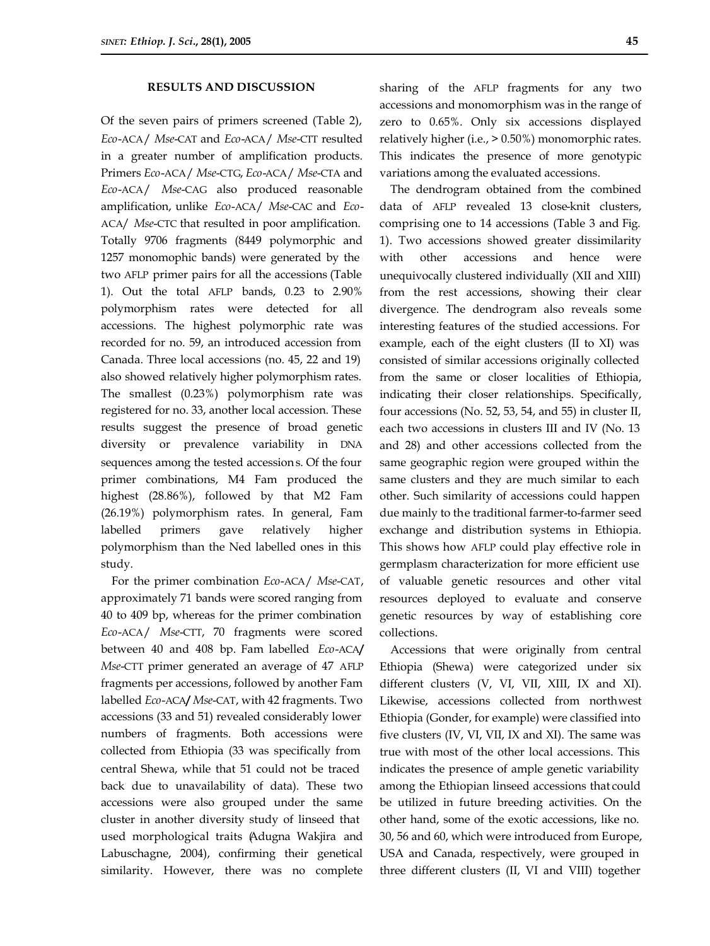## **RESULTS AND DISCUSSION**

Of the seven pairs of primers screened (Table 2), *Eco*-ACA/ *Mse*-CAT and *Eco*-ACA/ *Mse*-CTT resulted in a greater number of amplification products. Primers *Eco*-ACA/ *Mse*-CTG, *Eco*-ACA/ *Mse*-CTA and *Eco*-ACA/ *Mse*-CAG also produced reasonable amplification, unlike *Eco*-ACA/ *Mse*-CAC and *Eco*-ACA/ *Mse*-CTC that resulted in poor amplification. Totally 9706 fragments (8449 polymorphic and 1257 monomophic bands) were generated by the two AFLP primer pairs for all the accessions (Table 1). Out the total AFLP bands, 0.23 to 2.90% polymorphism rates were detected for all accessions. The highest polymorphic rate was recorded for no. 59, an introduced accession from Canada. Three local accessions (no. 45, 22 and 19) also showed relatively higher polymorphism rates. The smallest (0.23%) polymorphism rate was registered for no. 33, another local accession. These results suggest the presence of broad genetic diversity or prevalence variability in DNA sequences among the tested accession s. Of the four primer combinations, M4 Fam produced the highest (28.86%), followed by that M2 Fam (26.19%) polymorphism rates. In general, Fam labelled primers gave relatively higher polymorphism than the Ned labelled ones in this study.

For the primer combination *Eco*-ACA/ *Mse*-CAT, approximately 71 bands were scored ranging from 40 to 409 bp, whereas for the primer combination *Eco*-ACA/ *Mse*-CTT, 70 fragments were scored between 40 and 408 bp. Fam labelled *Eco*-ACA**/**  *Mse*-CTT primer generated an average of 47 AFLP fragments per accessions, followed by another Fam labelled *Eco*-ACA**/** *Mse*-CAT, with 42 fragments. Two accessions (33 and 51) revealed considerably lower numbers of fragments. Both accessions were collected from Ethiopia (33 was specifically from central Shewa, while that 51 could not be traced back due to unavailability of data). These two accessions were also grouped under the same cluster in another diversity study of linseed that used morphological traits (Adugna Wakjira and Labuschagne, 2004), confirming their genetical similarity. However, there was no complete

sharing of the AFLP fragments for any two accessions and monomorphism was in the range of zero to 0.65%. Only six accessions displayed relatively higher (i.e., > 0.50%) monomorphic rates. This indicates the presence of more genotypic variations among the evaluated accessions.

The dendrogram obtained from the combined data of AFLP revealed 13 close-knit clusters, comprising one to 14 accessions (Table 3 and Fig. 1). Two accessions showed greater dissimilarity with other accessions and hence were unequivocally clustered individually (XII and XIII) from the rest accessions, showing their clear divergence. The dendrogram also reveals some interesting features of the studied accessions. For example, each of the eight clusters (II to XI) was consisted of similar accessions originally collected from the same or closer localities of Ethiopia, indicating their closer relationships. Specifically, four accessions (No. 52, 53, 54, and 55) in cluster II, each two accessions in clusters III and IV (No. 13 and 28) and other accessions collected from the same geographic region were grouped within the same clusters and they are much similar to each other. Such similarity of accessions could happen due mainly to the traditional farmer-to-farmer seed exchange and distribution systems in Ethiopia. This shows how AFLP could play effective role in germplasm characterization for more efficient use of valuable genetic resources and other vital resources deployed to evaluate and conserve genetic resources by way of establishing core collections.

Accessions that were originally from central Ethiopia (Shewa) were categorized under six different clusters (V, VI, VII, XIII, IX and XI). Likewise, accessions collected from northwest Ethiopia (Gonder, for example) were classified into five clusters (IV, VI, VII, IX and XI). The same was true with most of the other local accessions. This indicates the presence of ample genetic variability among the Ethiopian linseed accessions that could be utilized in future breeding activities. On the other hand, some of the exotic accessions, like no. 30, 56 and 60, which were introduced from Europe, USA and Canada, respectively, were grouped in three different clusters (II, VI and VIII) together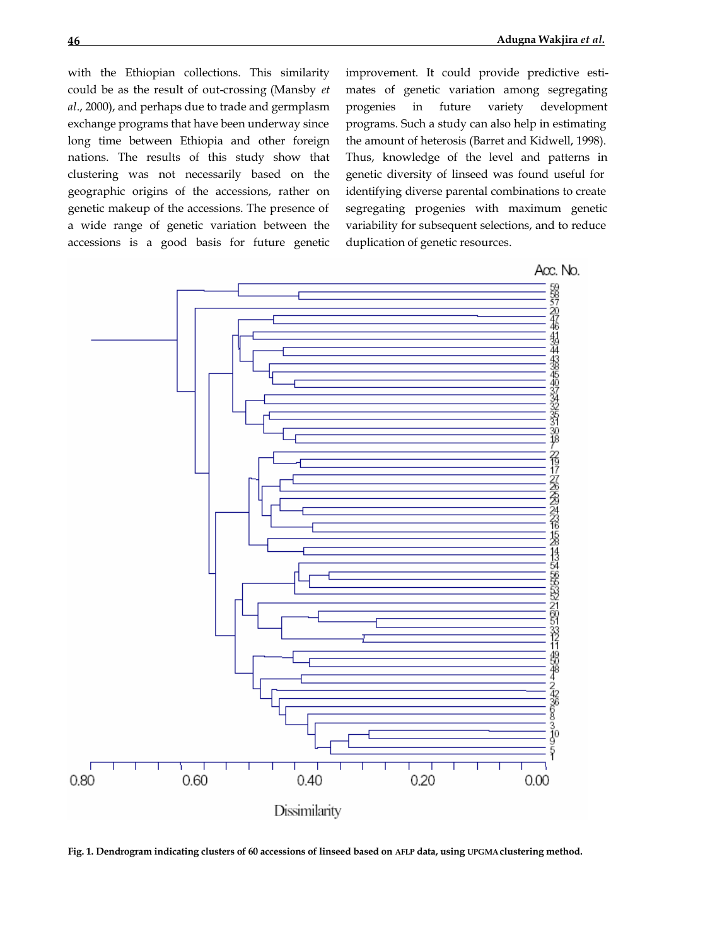with the Ethiopian collections. This similarity could be as the result of out-crossing (Mansby *et al*., 2000), and perhaps due to trade and germplasm exchange programs that have been underway since long time between Ethiopia and other foreign nations. The results of this study show that clustering was not necessarily based on the geographic origins of the accessions, rather on genetic makeup of the accessions. The presence of a wide range of genetic variation between the accessions is a good basis for future genetic improvement. It could provide predictive estimates of genetic variation among segregating progenies in future variety development programs. Such a study can also help in estimating the amount of heterosis (Barret and Kidwell, 1998). Thus, knowledge of the level and patterns in genetic diversity of linseed was found useful for identifying diverse parental combinations to create segregating progenies with maximum genetic variability for subsequent selections, and to reduce duplication of genetic resources.



**Fig. 1. Dendrogram indicating clusters of 60 accessions of linseed based on AFLP data, using UPGMA clustering method.**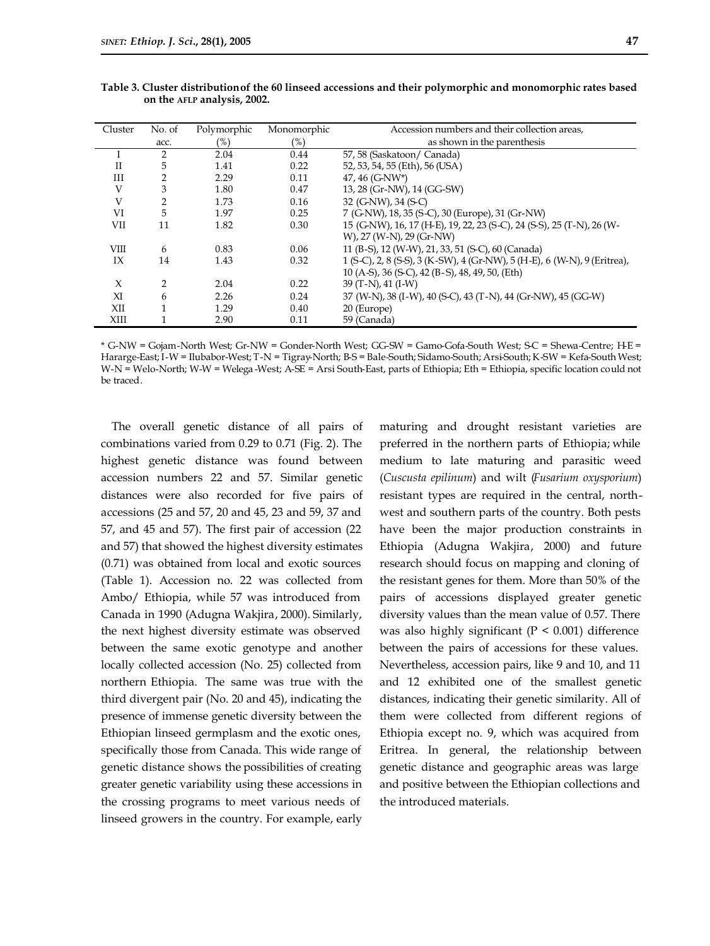| Cluster     | No. of         | Polymorphic | Monomorphic | Accession numbers and their collection areas,                            |
|-------------|----------------|-------------|-------------|--------------------------------------------------------------------------|
|             | acc.           | (%)         | $(\%)$      | as shown in the parenthesis                                              |
|             | $\overline{2}$ | 2.04        | 0.44        | 57, 58 (Saskatoon/ Canada)                                               |
| $_{\rm II}$ | 5              | 1.41        | 0.22        | 52, 53, 54, 55 (Eth), 56 (USA)                                           |
| Ш           | $\overline{2}$ | 2.29        | 0.11        | 47, 46 (G-NW*)                                                           |
| V           | 3              | 1.80        | 0.47        | 13, 28 (Gr-NW), 14 (GG-SW)                                               |
| V           | 2              | 1.73        | 0.16        | 32 (G-NW), 34 (S-C)                                                      |
| VI          | 5              | 1.97        | 0.25        | 7 (G-NW), 18, 35 (S-C), 30 (Europe), 31 (Gr-NW)                          |
| VII         | 11             | 1.82        | 0.30        | 15 (G-NW), 16, 17 (H-E), 19, 22, 23 (S-C), 24 (S-S), 25 (T-N), 26 (W-    |
|             |                |             |             | W), 27 (W-N), 29 (Gr-NW)                                                 |
| <b>VIII</b> | 6              | 0.83        | 0.06        | 11 (B-S), 12 (W-W), 21, 33, 51 (S-C), 60 (Canada)                        |
| IX          | 14             | 1.43        | 0.32        | 1 (S-C), 2, 8 (S-S), 3 (K-SW), 4 (Gr-NW), 5 (H-E), 6 (W-N), 9 (Eritrea), |
|             |                |             |             | 10 (A-S), 36 (S-C), 42 (B-S), 48, 49, 50, (Eth)                          |
| $\chi$      | $\overline{2}$ | 2.04        | 0.22        | 39 (T-N), 41 (I-W)                                                       |
| XI          | 6              | 2.26        | 0.24        | 37 (W-N), 38 (I-W), 40 (S-C), 43 (T-N), 44 (Gr-NW), 45 (GG-W)            |
| XII         |                | 1.29        | 0.40        | 20 (Europe)                                                              |
| XIII        |                | 2.90        | 0.11        | 59 (Canada)                                                              |

**Table 3. Cluster distributionof the 60 linseed accessions and their polymorphic and monomorphic rates based on the AFLP analysis, 2002.**

\* G-NW = Gojam-North West; Gr-NW = Gonder-North West; GG-SW = Gamo-Gofa-South West; S-C = Shewa-Centre; H-E = Hararge-East; I-W = Ilubabor-West; T-N = Tigray-North; B-S = Bale-South; Sidamo-South; Arsi-South; K-SW = Kefa-South West; W-N = Welo-North; W-W = Welega -West; A-SE = Arsi South-East, parts of Ethiopia; Eth = Ethiopia, specific location could not be traced.

The overall genetic distance of all pairs of combinations varied from 0.29 to 0.71 (Fig. 2). The highest genetic distance was found between accession numbers 22 and 57. Similar genetic distances were also recorded for five pairs of accessions (25 and 57, 20 and 45, 23 and 59, 37 and 57, and 45 and 57). The first pair of accession (22 and 57) that showed the highest diversity estimates (0.71) was obtained from local and exotic sources (Table 1). Accession no. 22 was collected from Ambo/ Ethiopia, while 57 was introduced from Canada in 1990 (Adugna Wakjira, 2000). Similarly, the next highest diversity estimate was observed between the same exotic genotype and another locally collected accession (No. 25) collected from northern Ethiopia. The same was true with the third divergent pair (No. 20 and 45), indicating the presence of immense genetic diversity between the Ethiopian linseed germplasm and the exotic ones, specifically those from Canada. This wide range of genetic distance shows the possibilities of creating greater genetic variability using these accessions in the crossing programs to meet various needs of linseed growers in the country. For example, early

maturing and drought resistant varieties are preferred in the northern parts of Ethiopia; while medium to late maturing and parasitic weed (*Cuscusta epilinum*) and wilt (*Fusarium oxysporium*) resistant types are required in the central, northwest and southern parts of the country. Both pests have been the major production constraints in Ethiopia (Adugna Wakjira, 2000) and future research should focus on mapping and cloning of the resistant genes for them. More than 50% of the pairs of accessions displayed greater genetic diversity values than the mean value of 0.57. There was also highly significant ( $P < 0.001$ ) difference between the pairs of accessions for these values. Nevertheless, accession pairs, like 9 and 10, and 11 and 12 exhibited one of the smallest genetic distances, indicating their genetic similarity. All of them were collected from different regions of Ethiopia except no. 9, which was acquired from Eritrea. In general, the relationship between genetic distance and geographic areas was large and positive between the Ethiopian collections and the introduced materials.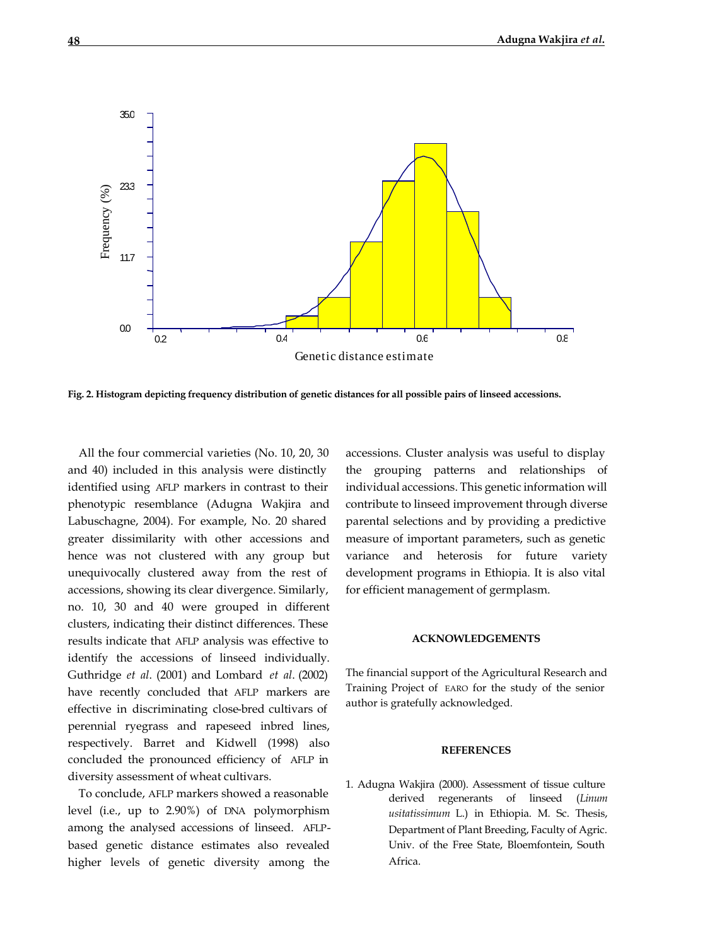

**Fig. 2. Histogram depicting frequency distribution of genetic distances for all possible pairs of linseed accessions.**

All the four commercial varieties (No. 10, 20, 30 and 40) included in this analysis were distinctly identified using AFLP markers in contrast to their phenotypic resemblance (Adugna Wakjira and Labuschagne, 2004). For example, No. 20 shared greater dissimilarity with other accessions and hence was not clustered with any group but unequivocally clustered away from the rest of accessions, showing its clear divergence. Similarly, no. 10, 30 and 40 were grouped in different clusters, indicating their distinct differences. These results indicate that AFLP analysis was effective to identify the accessions of linseed individually. Guthridge *et al*. (2001) and Lombard *et al*. (2002) have recently concluded that AFLP markers are effective in discriminating close-bred cultivars of perennial ryegrass and rapeseed inbred lines, respectively. Barret and Kidwell (1998) also concluded the pronounced efficiency of AFLP in diversity assessment of wheat cultivars.

To conclude, AFLP markers showed a reasonable level (i.e., up to 2.90%) of DNA polymorphism among the analysed accessions of linseed. AFLPbased genetic distance estimates also revealed higher levels of genetic diversity among the accessions. Cluster analysis was useful to display the grouping patterns and relationships of individual accessions. This genetic information will contribute to linseed improvement through diverse parental selections and by providing a predictive measure of important parameters, such as genetic variance and heterosis for future variety development programs in Ethiopia. It is also vital for efficient management of germplasm.

### **ACKNOWLEDGEMENTS**

The financial support of the Agricultural Research and Training Project of EARO for the study of the senior author is gratefully acknowledged.

#### **REFERENCES**

1. Adugna Wakjira (2000). Assessment of tissue culture derived regenerants of linseed (*Linum usitatissimum* L.) in Ethiopia. M. Sc. Thesis, Department of Plant Breeding, Faculty of Agric. Univ. of the Free State, Bloemfontein, South Africa.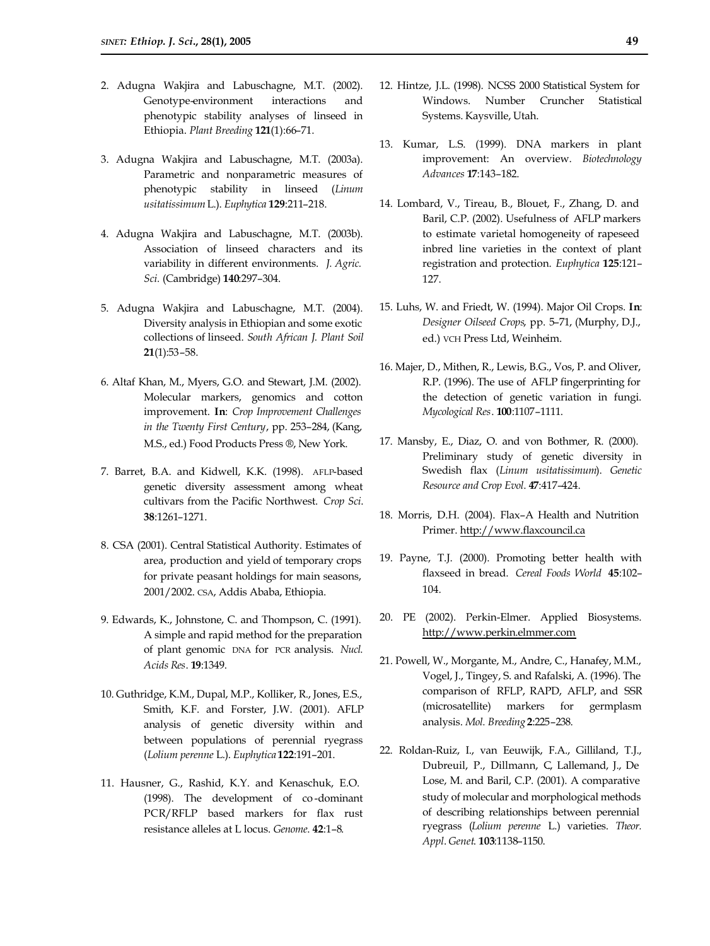- 2. Adugna Wakjira and Labuschagne, M.T. (2002). Genotype-environment interactions and phenotypic stability analyses of linseed in Ethiopia. *Plant Breeding* **121**(1):66–71.
- 3. Adugna Wakjira and Labuschagne, M.T. (2003a). Parametric and nonparametric measures of phenotypic stability in linseed (*Linum usitatissimum* L.). *Euphytica* **129**:211–218.
- 4. Adugna Wakjira and Labuschagne, M.T. (2003b). Association of linseed characters and its variability in different environments. *J. Agric. Sci.* (Cambridge) **140**:297–304.
- 5. Adugna Wakjira and Labuschagne, M.T. (2004). Diversity analysis in Ethiopian and some exotic collections of linseed. *South African J. Plant Soil* **21**(1):53–58.
- 6. Altaf Khan, M., Myers, G.O. and Stewart, J.M. (2002). Molecular markers, genomics and cotton improvement. **In**: *Crop Improvement Challenges in the Twenty First Century*, pp. 253–284, (Kang, M.S., ed.) Food Products Press ®, New York.
- 7. Barret, B.A. and Kidwell, K.K. (1998). AFLP-based genetic diversity assessment among wheat cultivars from the Pacific Northwest. *Crop Sci*. **38**:1261–1271.
- 8. CSA (2001). Central Statistical Authority. Estimates of area, production and yield of temporary crops for private peasant holdings for main seasons, 2001/2002. CSA, Addis Ababa, Ethiopia.
- 9. Edwards, K., Johnstone, C. and Thompson, C. (1991). A simple and rapid method for the preparation of plant genomic DNA for PCR analysis. *Nucl. Acids Res*. **19**:1349.
- 10. Guthridge, K.M., Dupal, M.P., Kolliker, R., Jones, E.S., Smith, K.F. and Forster, J.W. (2001). AFLP analysis of genetic diversity within and between populations of perennial ryegrass (*Lolium perenne* L.). *Euphytica* **122**:191–201.
- 11. Hausner, G., Rashid, K.Y. and Kenaschuk, E.O. (1998). The development of co -dominant PCR/RFLP based markers for flax rust resistance alleles at L locus. *Genome*. **42**:1–8.
- 12. Hintze, J.L. (1998). NCSS 2000 Statistical System for Windows. Number Cruncher Statistical Systems. Kaysville, Utah.
- 13. Kumar, L.S. (1999). DNA markers in plant improvement: An overview. *Biotechnology Advances* **17**:143–182.
- 14. Lombard, V., Tireau, B., Blouet, F., Zhang, D. and Baril, C.P. (2002). Usefulness of AFLP markers to estimate varietal homogeneity of rapeseed inbred line varieties in the context of plant registration and protection. *Euphytica* **125**:121– 127.
- 15. Luhs, W. and Friedt, W. (1994). Major Oil Crops. **In**: *Designer Oilseed Crops*, pp. 5–71, (Murphy, D.J., ed.) VCH Press Ltd, Weinheim.
- 16. Majer, D., Mithen, R., Lewis, B.G., Vos, P. and Oliver, R.P. (1996). The use of AFLP fingerprinting for the detection of genetic variation in fungi. *Mycological Res*. **100**:1107–1111.
- 17. Mansby, E., Diaz, O. and von Bothmer, R. (2000). Preliminary study of genetic diversity in Swedish flax (*Linum usitatissimum*). *Genetic Resource and Crop Evol*. **47**:417–424.
- 18. Morris, D.H. (2004). Flax–A Health and Nutrition Primer. http://www.flaxcouncil.ca
- 19. Payne, T.J. (2000). Promoting better health with flaxseed in bread. *Cereal Foods World* **45**:102– 104.
- 20. PE (2002). Perkin-Elmer. Applied Biosystems. http://www.perkin.elmmer.com
- 21. Powell, W., Morgante, M., Andre, C., Hanafey, M.M., Vogel, J., Tingey, S. and Rafalski, A. (1996). The comparison of RFLP, RAPD, AFLP, and SSR (microsatellite) markers for germplasm analysis. *Mol. Breeding* **2**:225–238.
- 22. Roldan-Ruiz, I., van Eeuwijk, F.A., Gilliland, T.J., Dubreuil, P., Dillmann, C., Lallemand, J., De Lose, M. and Baril, C.P. (2001). A comparative study of molecular and morphological methods of describing relationships between perennial ryegrass (*Lolium perenne* L.) varieties. *Theor. Appl*. *Genet*. **103**:1138–1150.